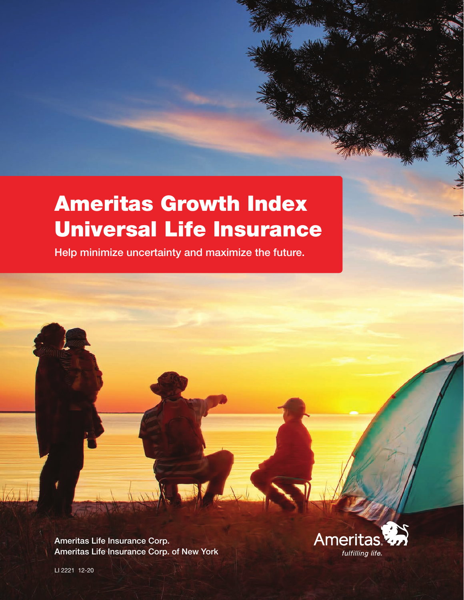# Ameritas Growth Index Universal Life Insurance

Help minimize uncertainty and maximize the future.

Ameritas Life Insurance Corp. Ameritas Life Insurance Corp. of New York

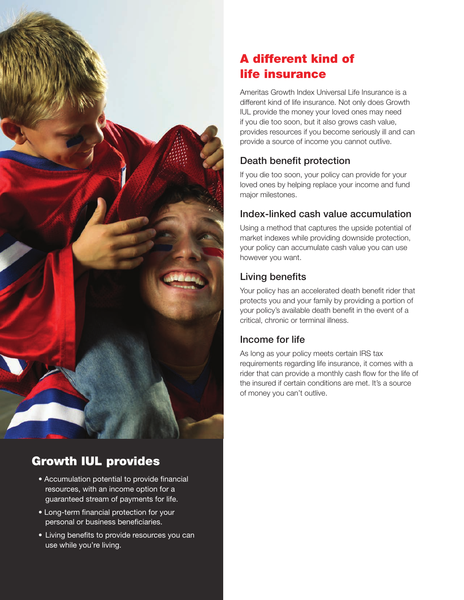

# Growth IUL provides

- Accumulation potential to provide financial resources, with an income option for a guaranteed stream of payments for life.
- Long-term financial protection for your personal or business beneficiaries.
- Living benefits to provide resources you can use while you're living.

# A different kind of life insurance

Ameritas Growth Index Universal Life Insurance is a different kind of life insurance. Not only does Growth IUL provide the money your loved ones may need if you die too soon, but it also grows cash value, provides resources if you become seriously ill and can provide a source of income you cannot outlive.

## Death benefit protection

If you die too soon, your policy can provide for your loved ones by helping replace your income and fund major milestones.

## Index-linked cash value accumulation

Using a method that captures the upside potential of market indexes while providing downside protection, your policy can accumulate cash value you can use however you want.

## Living benefits

Your policy has an accelerated death benefit rider that protects you and your family by providing a portion of your policy's available death benefit in the event of a critical, chronic or terminal illness.

### Income for life

As long as your policy meets certain IRS tax requirements regarding life insurance, it comes with a rider that can provide a monthly cash flow for the life of the insured if certain conditions are met. It's a source of money you can't outlive.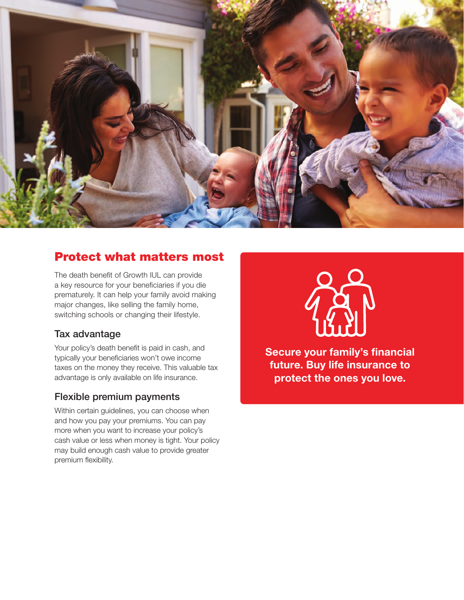

## Protect what matters most

The death benefit of Growth IUL can provide a key resource for your beneficiaries if you die prematurely. It can help your family avoid making major changes, like selling the family home, switching schools or changing their lifestyle.

#### Tax advantage

Your policy's death benefit is paid in cash, and typically your beneficiaries won't owe income taxes on the money they receive. This valuable tax advantage is only available on life insurance.

#### Flexible premium payments

Within certain guidelines, you can choose when and how you pay your premiums. You can pay more when you want to increase your policy's cash value or less when money is tight. Your policy may build enough cash value to provide greater premium flexibility.



Secure your family's financial future. Buy life insurance to protect the ones you love.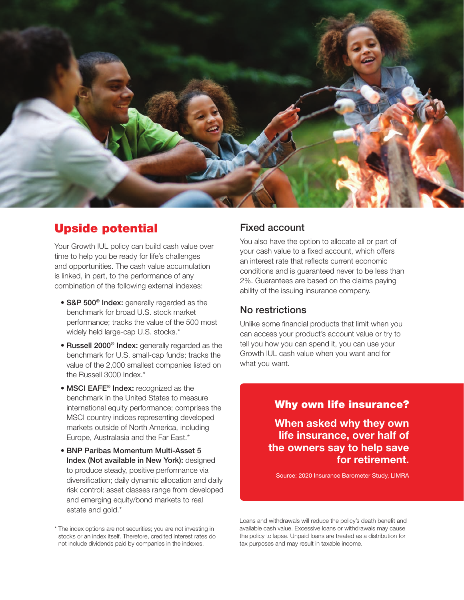

## Upside potential

Your Growth IUL policy can build cash value over time to help you be ready for life's challenges and opportunities. The cash value accumulation is linked, in part, to the performance of any combination of the following external indexes:

- S&P 500<sup>®</sup> Index: generally regarded as the benchmark for broad U.S. stock market performance; tracks the value of the 500 most widely held large-cap U.S. stocks.\*
- Russell 2000<sup>®</sup> Index: generally regarded as the benchmark for U.S. small-cap funds; tracks the value of the 2,000 smallest companies listed on the Russell 3000 Index.\*
- MSCI EAFE<sup>®</sup> Index: recognized as the benchmark in the United States to measure international equity performance; comprises the MSCI country indices representing developed markets outside of North America, including Europe, Australasia and the Far East.\*
- BNP Paribas Momentum Multi-Asset 5 Index (Not available in New York): designed to produce steady, positive performance via diversification; daily dynamic allocation and daily risk control; asset classes range from developed and emerging equity/bond markets to real estate and gold.\*

\* The index options are not securities; you are not investing in stocks or an index itself. Therefore, credited interest rates do not include dividends paid by companies in the indexes.

#### Fixed account

You also have the option to allocate all or part of your cash value to a fixed account, which offers an interest rate that reflects current economic conditions and is guaranteed never to be less than 2%. Guarantees are based on the claims paying ability of the issuing insurance company.

#### No restrictions

Unlike some financial products that limit when you can access your product's account value or try to tell you how you can spend it, you can use your Growth IUL cash value when you want and for what you want.

#### Why own life insurance?

When asked why they own life insurance, over half of the owners say to help save for retirement.

Source: 2020 Insurance Barometer Study, LIMRA

Loans and withdrawals will reduce the policy's death benefit and available cash value. Excessive loans or withdrawals may cause the policy to lapse. Unpaid loans are treated as a distribution for tax purposes and may result in taxable income.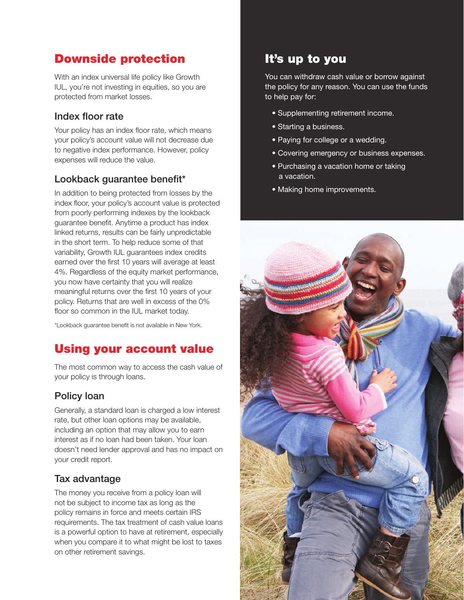# Downside protection

With an index universal life policy like Growth IUL, you're not investing in equities, so you are protected from market losses.

#### Index floor rate

Your policy has an index floor rate, which means your policy's account value will not decrease due to negative index performance. However, policy expenses will reduce the value.

#### Lookback guarantee benefit\*

In addition to being protected from losses by the index floor, your policy's account value is protected from poorly performing indexes by the lookback guarantee benefit. Anytime a product has index linked returns, results can be fairly unpredictable in the short term. To help reduce some of that variability, Growth IUL guarantees index credits earned over the first 10 years will average at least 4%. Regardless of the equity market performance, you now have certainty that you will realize meaningful returns over the first 10 years of your policy. Returns that are well in excess of the 0% floor so common in the IUL market today.

\*Lookback guarantee benefit is not available in New York.

# Using your account value

The most common way to access the cash value of your policy is through loans.

#### Policy loan

Generally, a standard loan is charged a low interest rate, but other loan options may be available, including an option that may allow you to earn interest as if no loan had been taken. Your loan doesn't need lender approval and has no impact on your credit report.

#### Tax advantage

The money you receive from a policy loan will not be subject to income tax as long as the policy remains in force and meets certain IRS requirements. The tax treatment of cash value loans is a powerful option to have at retirement, especially when you compare it to what might be lost to taxes on other retirement savings.

## It's up to you

You can withdraw cash value or borrow against the policy for any reason. You can use the funds to help pay for:

- Supplementing retirement income.
- Starting a business.
- Paying for college or a wedding.
- Covering emergency or business expenses.
- Purchasing a vacation home or taking a vacation.
- Making home improvements.

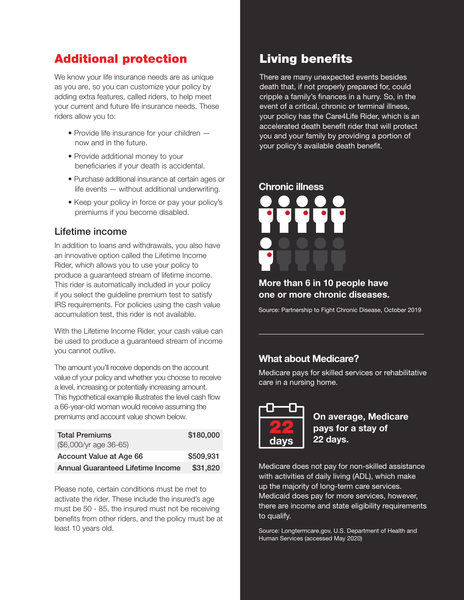# Additional protection

We know your life insurance needs are as unique as you are, so you can customize your policy by adding extra features, called riders, to help meet your current and future life insurance needs. These riders allow you to:

- Provide life insurance for your children now and in the future.
- Provide additional money to your beneficiaries if your death is accidental.
- Purchase additional insurance at certain ages or life events — without additional underwriting.
- Keep your policy in force or pay your policy's premiums if you become disabled.

#### Lifetime income

In addition to loans and withdrawals, you also have an innovative option called the Lifetime Income Rider, which allows you to use your policy to produce a guaranteed stream of lifetime income. This rider is automatically included in your policy if you select the guideline premium test to satisfy IRS requirements. For policies using the cash value accumulation test, this rider is not available.

With the Lifetime Income Rider, your cash value can be used to produce a guaranteed stream of income you cannot outlive.

The amount you'll receive depends on the account value of your policy and whether you choose to receive a level, increasing or potentially increasing amount. This hypothetical example illustrates the level cash flow a 66-year-old woman would receive assuming the premiums and account value shown below.

| <b>Total Premiums</b>                    | \$180,000 |
|------------------------------------------|-----------|
| (\$6,000/yr age 36-65)                   |           |
| Account Value at Age 66                  | \$509,931 |
| <b>Annual Guaranteed Lifetime Income</b> | \$31,820  |

Please note, certain conditions must be met to activate the rider. These include the insured's age must be 50 - 85, the insured must not be receiving benefits from other riders, and the policy must be at least 10 years old.

# Living benefits

There are many unexpected events besides death that, if not properly prepared for, could cripple a family's finances in a hurry. So, in the event of a critical, chronic or terminal illness, your policy has the Care4Life Rider, which is an accelerated death benefit rider that will protect you and your family by providing a portion of your policy's available death benefit.



#### More than 6 in 10 people have one or more chronic diseases.

Source: Partnership to Fight Chronic Disease, October 2019

#### What about Medicare?

Medicare pays for skilled services or rehabilitative care in a nursing home.



On average, Medicare pays for a stay of 22 days.

Medicare does not pay for non-skilled assistance with activities of daily living (ADL), which make up the majority of long-term care services. Medicaid does pay for more services, however, there are income and state eligibility requirements to qualify.

Source: Longtermcare.gov, U.S. Department of Health and Human Services (accessed May 2020)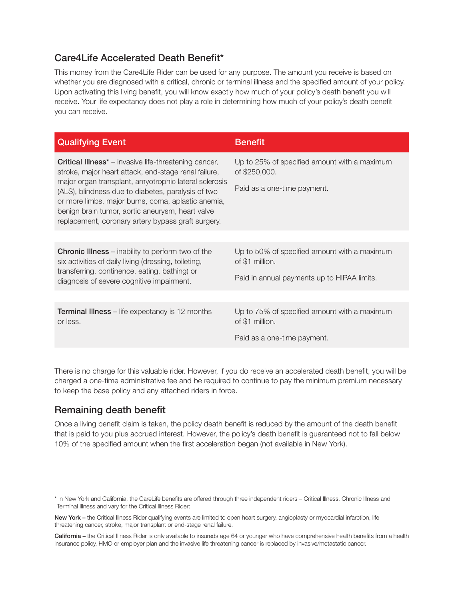#### Care4Life Accelerated Death Benefit\*

This money from the Care4Life Rider can be used for any purpose. The amount you receive is based on whether you are diagnosed with a critical, chronic or terminal illness and the specified amount of your policy. Upon activating this living benefit, you will know exactly how much of your policy's death benefit you will receive. Your life expectancy does not play a role in determining how much of your policy's death benefit you can receive.

| <b>Qualifying Event</b>                                                                                                                                                                                                                                                                                                                                                                             | <b>Benefit</b>                                                                               |
|-----------------------------------------------------------------------------------------------------------------------------------------------------------------------------------------------------------------------------------------------------------------------------------------------------------------------------------------------------------------------------------------------------|----------------------------------------------------------------------------------------------|
| <b>Critical Illness*</b> – invasive life-threatening cancer,<br>stroke, major heart attack, end-stage renal failure,<br>major organ transplant, amyotrophic lateral sclerosis<br>(ALS), blindness due to diabetes, paralysis of two<br>or more limbs, major burns, coma, aplastic anemia,<br>benign brain tumor, aortic aneurysm, heart valve<br>replacement, coronary artery bypass graft surgery. | Up to 25% of specified amount with a maximum<br>of \$250,000.<br>Paid as a one-time payment. |
|                                                                                                                                                                                                                                                                                                                                                                                                     |                                                                                              |
|                                                                                                                                                                                                                                                                                                                                                                                                     |                                                                                              |
| <b>Chronic Illness</b> – inability to perform two of the<br>six activities of daily living (dressing, toileting,<br>transferring, continence, eating, bathing) or<br>diagnosis of severe cognitive impairment.                                                                                                                                                                                      | Up to 50% of specified amount with a maximum<br>of \$1 million.                              |
|                                                                                                                                                                                                                                                                                                                                                                                                     | Paid in annual payments up to HIPAA limits.                                                  |
|                                                                                                                                                                                                                                                                                                                                                                                                     |                                                                                              |
| <b>Terminal Illness</b> – life expectancy is 12 months<br>or less.                                                                                                                                                                                                                                                                                                                                  | Up to 75% of specified amount with a maximum<br>of \$1 million.                              |
|                                                                                                                                                                                                                                                                                                                                                                                                     | Paid as a one-time payment.                                                                  |

There is no charge for this valuable rider. However, if you do receive an accelerated death benefit, you will be charged a one-time administrative fee and be required to continue to pay the minimum premium necessary to keep the base policy and any attached riders in force.

#### Remaining death benefit

Once a living benefit claim is taken, the policy death benefit is reduced by the amount of the death benefit that is paid to you plus accrued interest. However, the policy's death benefit is guaranteed not to fall below 10% of the specified amount when the first acceleration began (not available in New York).

\* In New York and California, the CareLife benefits are offered through three independent riders – Critical Illness, Chronic Illness and Terminal Illness and vary for the Critical Illness Rider:

New York – the Critical Illness Rider qualifying events are limited to open heart surgery, angioplasty or myocardial infarction, life threatening cancer, stroke, major transplant or end-stage renal failure.

California – the Critical Illness Rider is only available to insureds age 64 or younger who have comprehensive health benefits from a health insurance policy, HMO or employer plan and the invasive life threatening cancer is replaced by invasive/metastatic cancer.